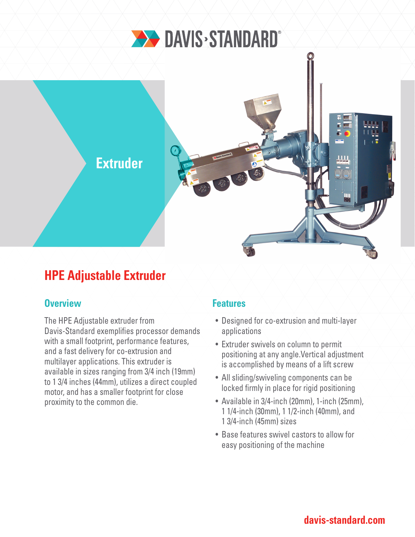

# **Extruder**

## **HPE Adjustable Extruder**

### **Overview Allen Access Access Access Access** Features

The HPE Adjustable extruder from Davis-Standard exemplifies processor demands with a small footprint, performance features, and a fast delivery for co-extrusion and multilayer applications. This extruder is available in sizes ranging from 3/4 inch (19mm) to 1 3/4 inches (44mm), utilizes a direct coupled motor, and has a smaller footprint for close proximity to the common die.

- Designed for co-extrusion and multi-layer applications
- Extruder swivels on column to permit positioning at any angle.Vertical adjustment is accomplished by means of a lift screw
- All sliding/swiveling components can be locked firmly in place for rigid positioning
- Available in 3/4-inch (20mm), 1-inch (25mm), 1 1/4-inch (30mm), 1 1/2-inch (40mm), and 1 3/4-inch (45mm) sizes
- Base features swivel castors to allow for easy positioning of the machine

## **davis-standard.com**

<u>| | | |</u>

₩